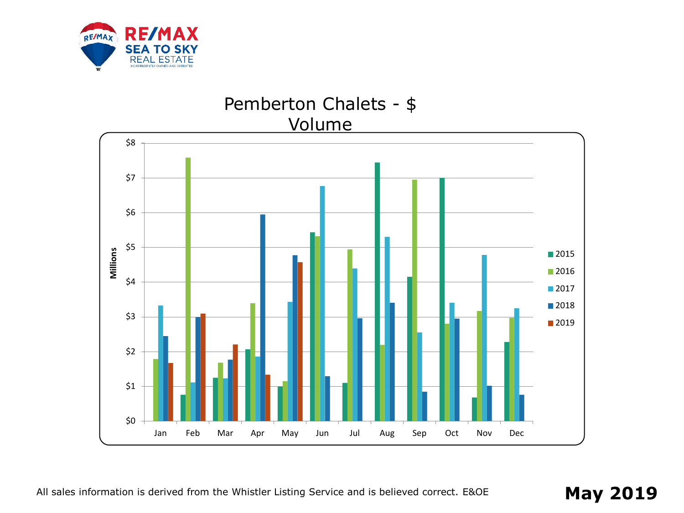

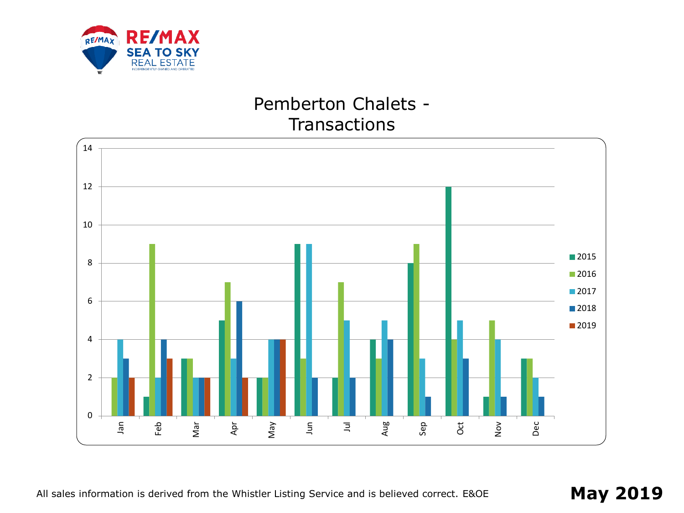

## Pemberton Chalets - **Transactions**

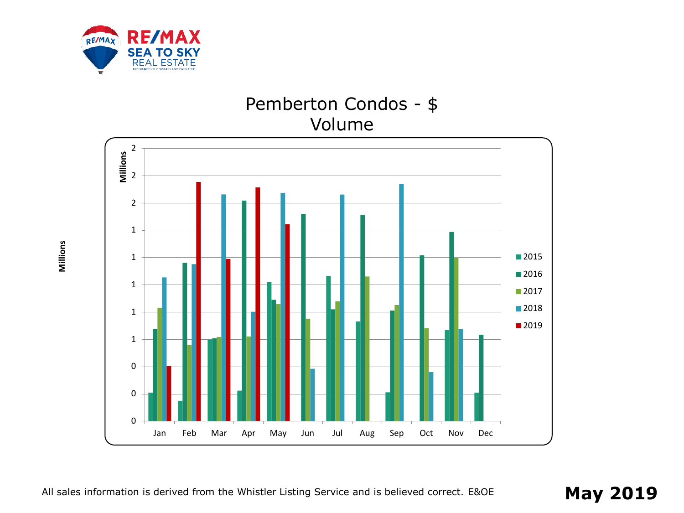

# Pemberton Condos - \$ Volume



**Millions**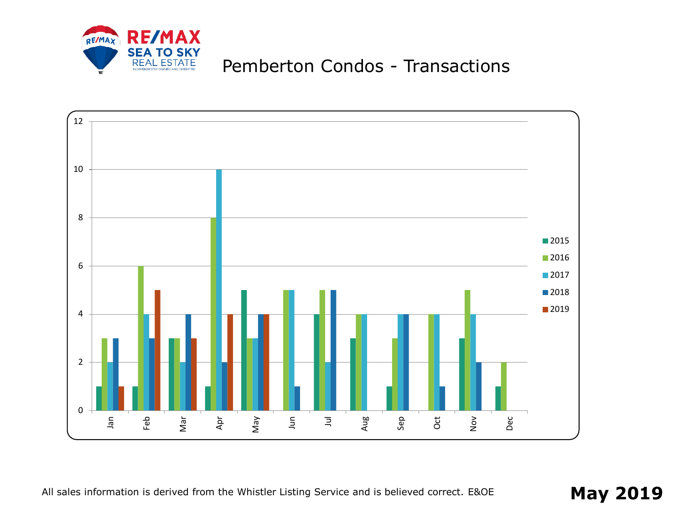

# Pemberton Condos - Transactions

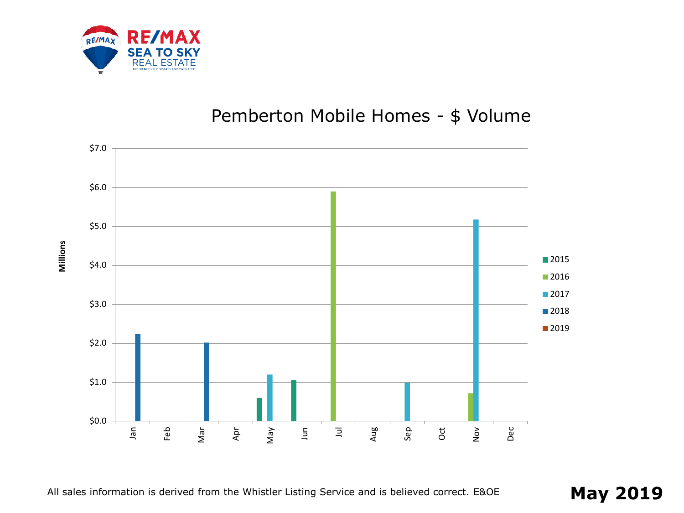

## Pemberton Mobile Homes - \$ Volume



**Millions**

All sales information is derived from the Whistler Listing Service and is believed correct. E&OE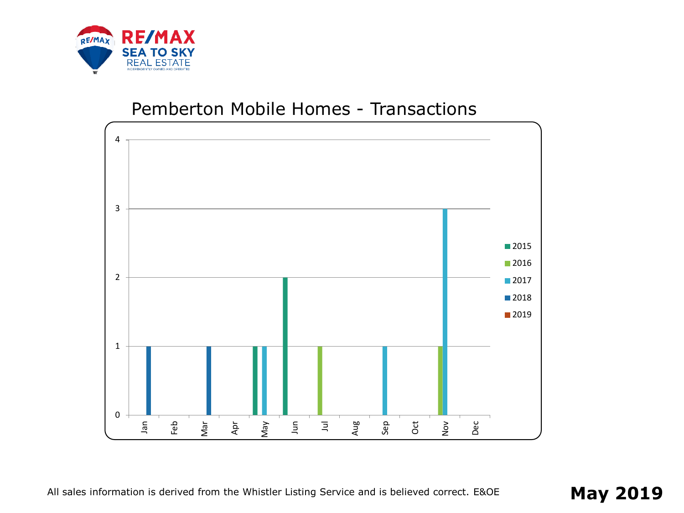

#### Pemberton Mobile Homes - Transactions

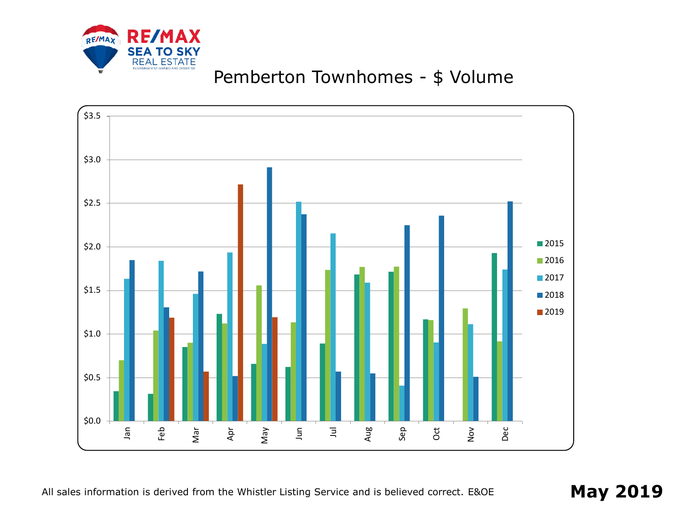

# Pemberton Townhomes - \$ Volume

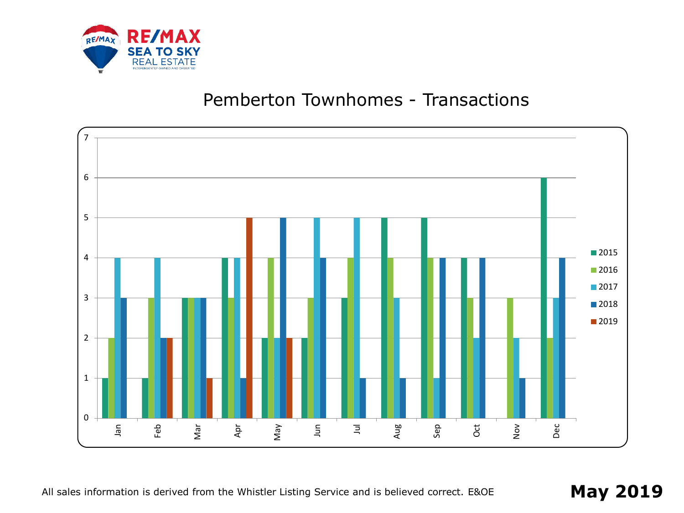

### Pemberton Townhomes - Transactions



All sales information is derived from the Whistler Listing Service and is believed correct. E&OE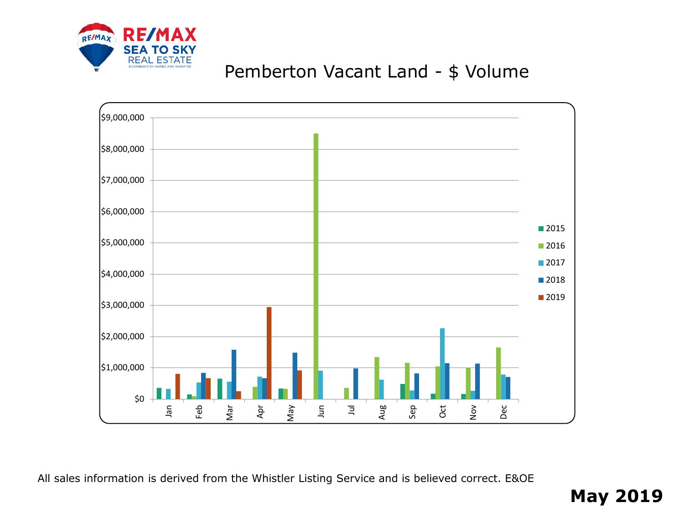

## Pemberton Vacant Land - \$ Volume



All sales information is derived from the Whistler Listing Service and is believed correct. E&OE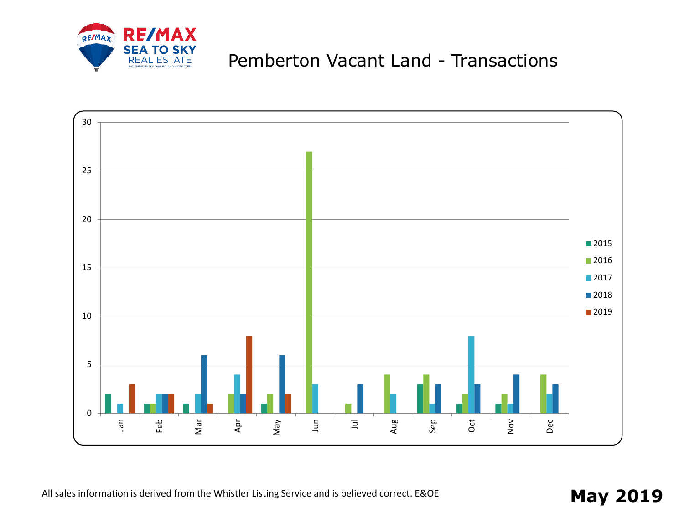

## Pemberton Vacant Land - Transactions



All sales information is derived from the Whistler Listing Service and is believed correct. E&OE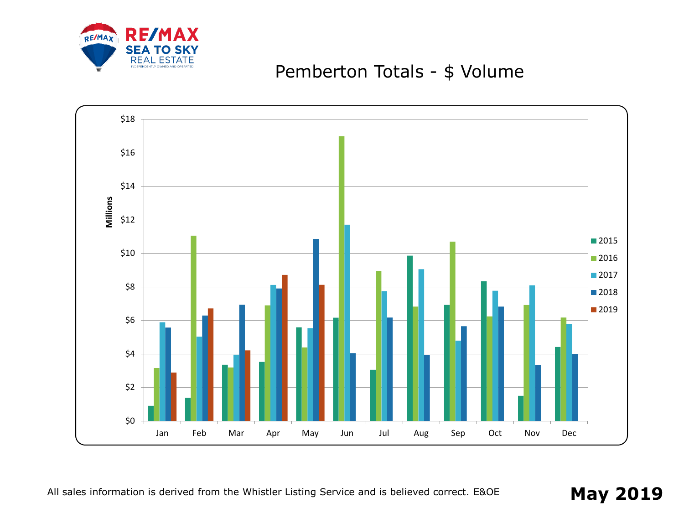

## Pemberton Totals - \$ Volume

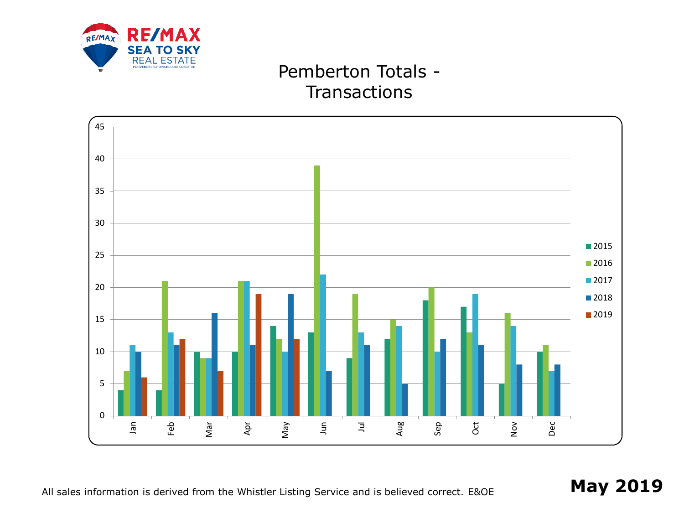

## Pemberton Totals - **Transactions**

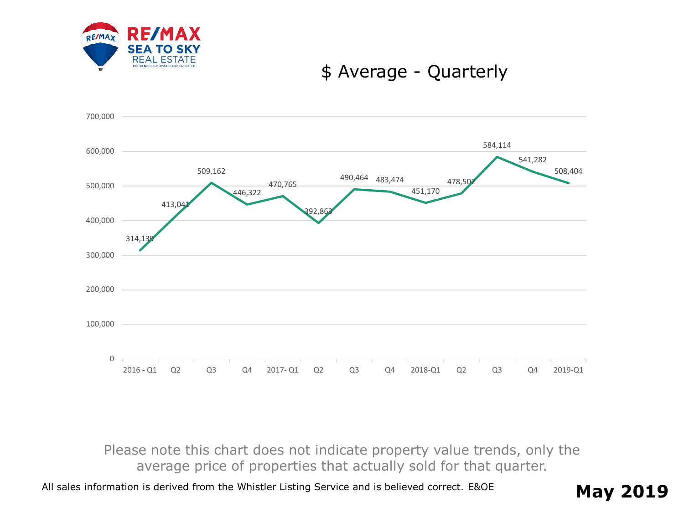

#### \$ Average - Quarterly



Please note this chart does not indicate property value trends, only the average price of properties that actually sold for that quarter.

All sales information is derived from the Whistler Listing Service and is believed correct. E&OE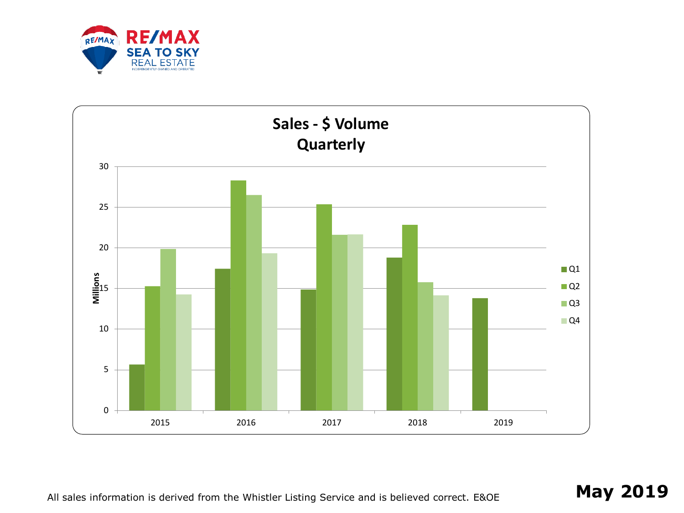